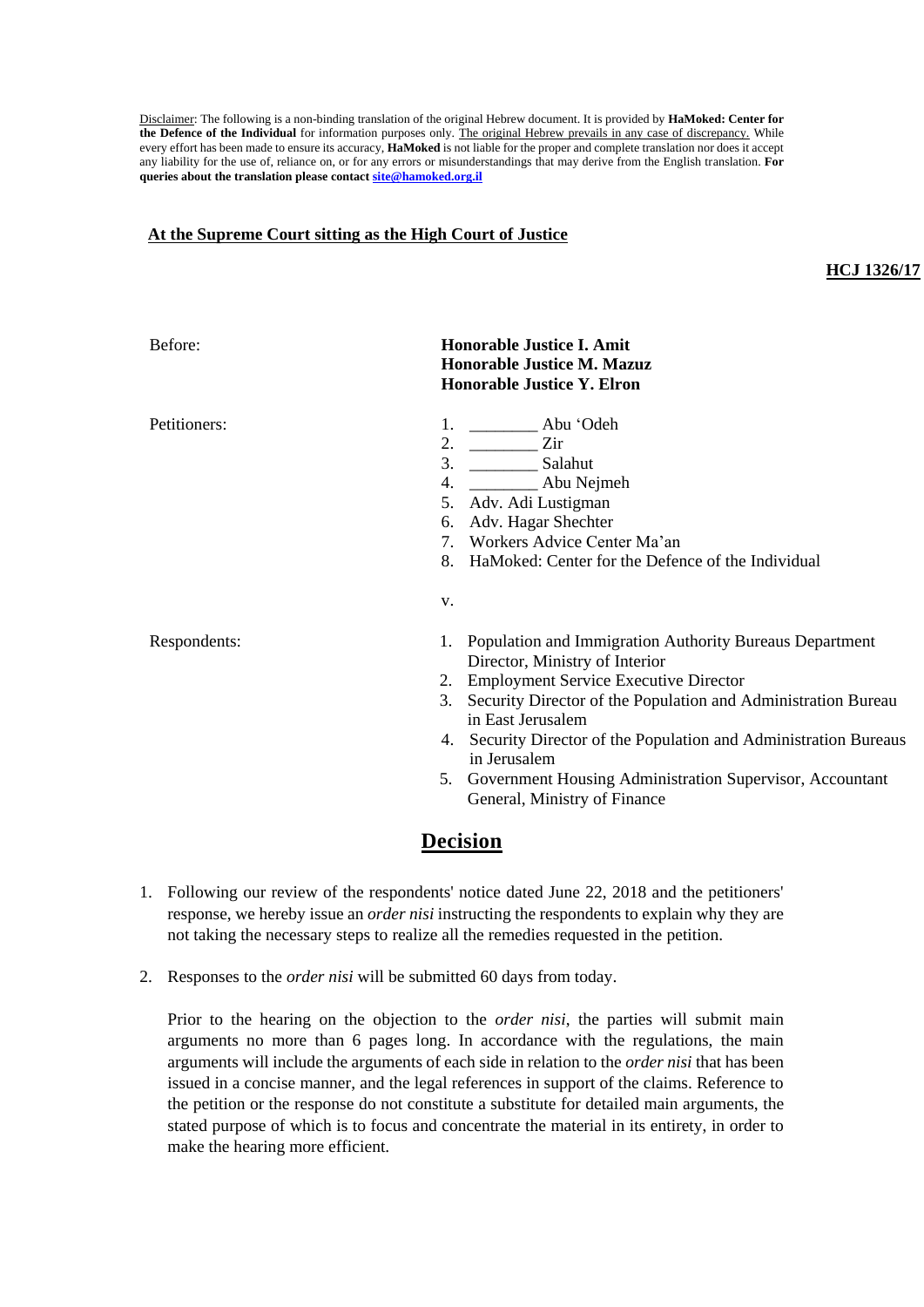Disclaimer: The following is a non-binding translation of the original Hebrew document. It is provided by **HaMoked: Center for the Defence of the Individual** for information purposes only. The original Hebrew prevails in any case of discrepancy. While every effort has been made to ensure its accuracy, **HaMoked** is not liable for the proper and complete translation nor does it accept any liability for the use of, reliance on, or for any errors or misunderstandings that may derive from the English translation. **For queries about the translation please contac[t site@hamoked.org.il](mailto:site@hamoked.org.il)**

## **At the Supreme Court sitting as the High Court of Justice**

## **HCJ 1326/17**

| Before:      | <b>Honorable Justice I. Amit</b><br><b>Honorable Justice M. Mazuz</b><br><b>Honorable Justice Y. Elron</b>                                                                                                                                                                                                                                                                                                               |
|--------------|--------------------------------------------------------------------------------------------------------------------------------------------------------------------------------------------------------------------------------------------------------------------------------------------------------------------------------------------------------------------------------------------------------------------------|
| Petitioners: | 1. ___________ Abu 'Odeh<br>2. $\frac{\ }{\ }$ Zir                                                                                                                                                                                                                                                                                                                                                                       |
|              | 5. Adv. Adi Lustigman<br>Adv. Hagar Shechter<br>6.                                                                                                                                                                                                                                                                                                                                                                       |
|              | 7. Workers Advice Center Ma'an<br>HaMoked: Center for the Defence of the Individual<br>8.                                                                                                                                                                                                                                                                                                                                |
|              | V.                                                                                                                                                                                                                                                                                                                                                                                                                       |
| Respondents: | 1. Population and Immigration Authority Bureaus Department<br>Director, Ministry of Interior<br>2. Employment Service Executive Director<br>Security Director of the Population and Administration Bureau<br>3.<br>in East Jerusalem<br>4. Security Director of the Population and Administration Bureaus<br>in Jerusalem<br>5. Government Housing Administration Supervisor, Accountant<br>General, Ministry of Finance |

## **Decision**

- 1. Following our review of the respondents' notice dated June 22, 2018 and the petitioners' response, we hereby issue an *order nisi* instructing the respondents to explain why they are not taking the necessary steps to realize all the remedies requested in the petition.
- 2. Responses to the *order nisi* will be submitted 60 days from today.

Prior to the hearing on the objection to the *order nisi*, the parties will submit main arguments no more than 6 pages long. In accordance with the regulations, the main arguments will include the arguments of each side in relation to the *order nisi* that has been issued in a concise manner, and the legal references in support of the claims. Reference to the petition or the response do not constitute a substitute for detailed main arguments, the stated purpose of which is to focus and concentrate the material in its entirety, in order to make the hearing more efficient.